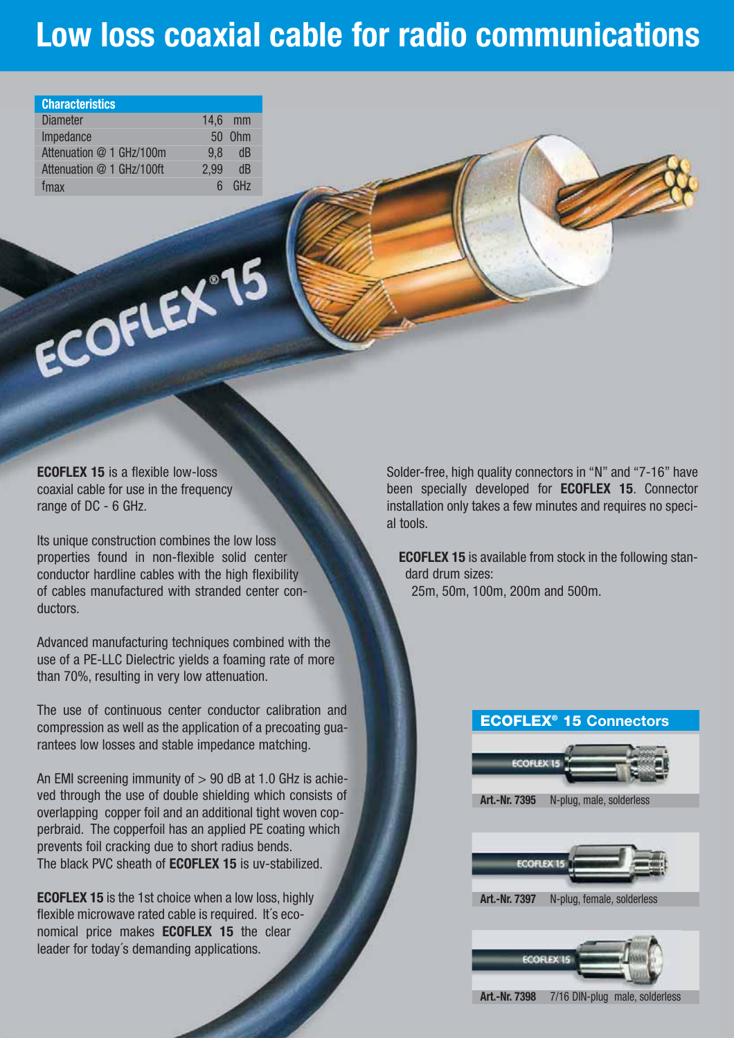# **Low loss coaxial cable for radio communications**

| <b>Characteristics</b>    |           |                 |
|---------------------------|-----------|-----------------|
| <b>Diameter</b>           | $14.6$ mm |                 |
| Impedance                 |           | 50 0hm          |
| Attenuation @ 1 GHz/100m  | 9.8       | dB              |
| Attenuation @ 1 GHz/100ft | 2,99      | dB              |
| tmax                      | հ         | GH <sub>7</sub> |

ECOFLEX 15

**ECOFLEX 15** is a flexible low-loss coaxial cable for use in the frequency range of DC - 6 GHz.

Its unique construction combines the low loss properties found in non-flexible solid center conductor hardline cables with the high flexibility of cables manufactured with stranded center conductors.

Advanced manufacturing techniques combined with the use of a PE-LLC Dielectric yields a foaming rate of more than 70%, resulting in very low attenuation.

The use of continuous center conductor calibration and compression as well as the application of a precoating guarantees low losses and stable impedance matching.

An EMI screening immunity of  $> 90$  dB at 1.0 GHz is achieved through the use of double shielding which consists of overlapping copper foil and an additional tight woven copperbraid. The copperfoil has an applied PE coating which prevents foil cracking due to short radius bends. The black PVC sheath of **ECOFLEX 15** is uv-stabilized.

**ECOFLEX 15** is the 1st choice when a low loss, highly flexible microwave rated cable is required. It´s economical price makes **ECOFLEX 15** the clear leader for today´s demanding applications.

Solder-free, high quality connectors in "N" and "7-16" have been specially developed for **ECOFLEX 15**. Connector installation only takes a few minutes and requires no special tools.

**ECOFLEX 15** is available from stock in the following standard drum sizes: 25m, 50m, 100m, 200m and 500m.

#### **ECOFLEX® 15 Connectors**



**Art.-Nr. 7395** N-plug, male, solderless



**Art.-Nr. 7397** N-plug, female, solderless



**Art.-Nr. 7398** 7/16 DIN-plug male, solderless